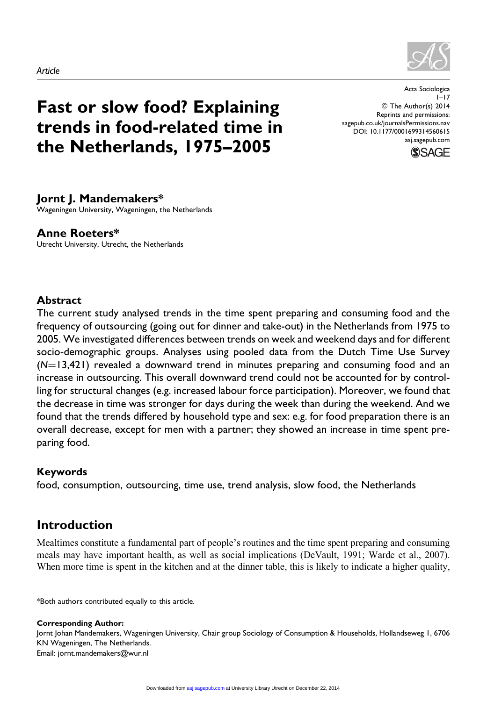

# Fast or slow food? Explaining trends in food-related time in the Netherlands, 1975–2005

Acta Sociologica  $1 - 17$ © The Author(s) 2014 Reprints and permissions: [sagepub.co.uk/journalsPermissions.nav](http://www.sagepub.co.uk/journalsPermissions.nav) DOI: 10.1177/0001699314560615 [asj.sagepub.com](http://asj.sagepub.com)



## Jornt J. Mandemakers\*

Wageningen University, Wageningen, the Netherlands

## Anne Roeters\*

Utrecht University, Utrecht, the Netherlands

#### Abstract

The current study analysed trends in the time spent preparing and consuming food and the frequency of outsourcing (going out for dinner and take-out) in the Netherlands from 1975 to 2005. We investigated differences between trends on week and weekend days and for different socio-demographic groups. Analyses using pooled data from the Dutch Time Use Survey  $(N=13,421)$  revealed a downward trend in minutes preparing and consuming food and an increase in outsourcing. This overall downward trend could not be accounted for by controlling for structural changes (e.g. increased labour force participation). Moreover, we found that the decrease in time was stronger for days during the week than during the weekend. And we found that the trends differed by household type and sex: e.g. for food preparation there is an overall decrease, except for men with a partner; they showed an increase in time spent preparing food.

## Keywords

food, consumption, outsourcing, time use, trend analysis, slow food, the Netherlands

# Introduction

Mealtimes constitute a fundamental part of people's routines and the time spent preparing and consuming meals may have important health, as well as social implications (DeVault, 1991; Warde et al., 2007). When more time is spent in the kitchen and at the dinner table, this is likely to indicate a higher quality,

\*Both authors contributed equally to this article.

Corresponding Author:

Jornt Johan Mandemakers, Wageningen University, Chair group Sociology of Consumption & Households, Hollandseweg 1, 6706 KN Wageningen, The Netherlands. Email: jornt.mandemakers@wur.nl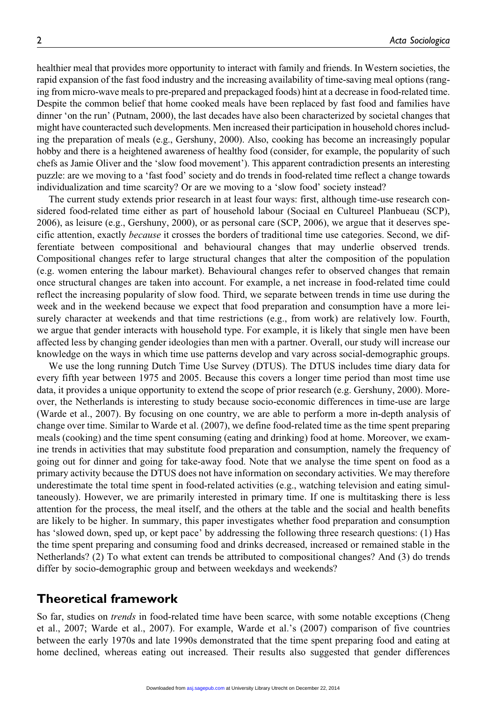healthier meal that provides more opportunity to interact with family and friends. In Western societies, the rapid expansion of the fast food industry and the increasing availability of time-saving meal options (ranging from micro-wave meals to pre-prepared and prepackaged foods) hint at a decrease in food-related time. Despite the common belief that home cooked meals have been replaced by fast food and families have dinner 'on the run' (Putnam, 2000), the last decades have also been characterized by societal changes that might have counteracted such developments. Men increased their participation in household chores including the preparation of meals (e.g., Gershuny, 2000). Also, cooking has become an increasingly popular hobby and there is a heightened awareness of healthy food (consider, for example, the popularity of such chefs as Jamie Oliver and the 'slow food movement'). This apparent contradiction presents an interesting puzzle: are we moving to a 'fast food' society and do trends in food-related time reflect a change towards individualization and time scarcity? Or are we moving to a 'slow food' society instead?

The current study extends prior research in at least four ways: first, although time-use research considered food-related time either as part of household labour (Sociaal en Cultureel Planbueau (SCP), 2006), as leisure (e.g., Gershuny, 2000), or as personal care (SCP, 2006), we argue that it deserves specific attention, exactly because it crosses the borders of traditional time use categories. Second, we differentiate between compositional and behavioural changes that may underlie observed trends. Compositional changes refer to large structural changes that alter the composition of the population (e.g. women entering the labour market). Behavioural changes refer to observed changes that remain once structural changes are taken into account. For example, a net increase in food-related time could reflect the increasing popularity of slow food. Third, we separate between trends in time use during the week and in the weekend because we expect that food preparation and consumption have a more leisurely character at weekends and that time restrictions (e.g., from work) are relatively low. Fourth, we argue that gender interacts with household type. For example, it is likely that single men have been affected less by changing gender ideologies than men with a partner. Overall, our study will increase our knowledge on the ways in which time use patterns develop and vary across social-demographic groups.

We use the long running Dutch Time Use Survey (DTUS). The DTUS includes time diary data for every fifth year between 1975 and 2005. Because this covers a longer time period than most time use data, it provides a unique opportunity to extend the scope of prior research (e.g. Gershuny, 2000). Moreover, the Netherlands is interesting to study because socio-economic differences in time-use are large (Warde et al., 2007). By focusing on one country, we are able to perform a more in-depth analysis of change over time. Similar to Warde et al. (2007), we define food-related time as the time spent preparing meals (cooking) and the time spent consuming (eating and drinking) food at home. Moreover, we examine trends in activities that may substitute food preparation and consumption, namely the frequency of going out for dinner and going for take-away food. Note that we analyse the time spent on food as a primary activity because the DTUS does not have information on secondary activities. We may therefore underestimate the total time spent in food-related activities (e.g., watching television and eating simultaneously). However, we are primarily interested in primary time. If one is multitasking there is less attention for the process, the meal itself, and the others at the table and the social and health benefits are likely to be higher. In summary, this paper investigates whether food preparation and consumption has 'slowed down, sped up, or kept pace' by addressing the following three research questions: (1) Has the time spent preparing and consuming food and drinks decreased, increased or remained stable in the Netherlands? (2) To what extent can trends be attributed to compositional changes? And (3) do trends differ by socio-demographic group and between weekdays and weekends?

#### Theoretical framework

So far, studies on *trends* in food-related time have been scarce, with some notable exceptions (Cheng et al., 2007; Warde et al., 2007). For example, Warde et al.'s (2007) comparison of five countries between the early 1970s and late 1990s demonstrated that the time spent preparing food and eating at home declined, whereas eating out increased. Their results also suggested that gender differences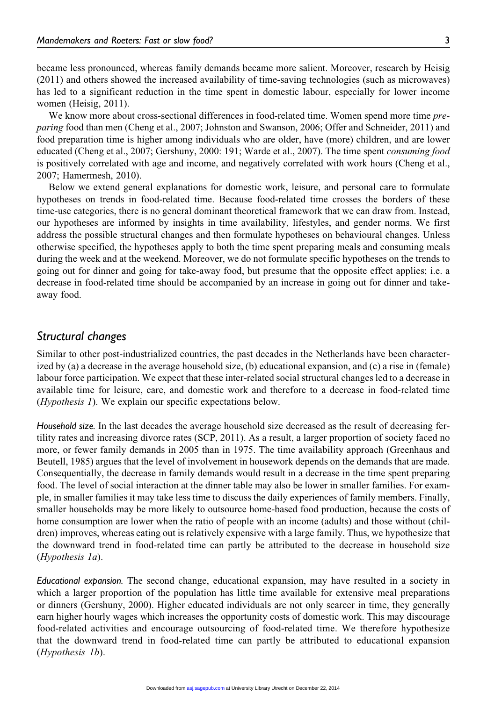became less pronounced, whereas family demands became more salient. Moreover, research by Heisig (2011) and others showed the increased availability of time-saving technologies (such as microwaves) has led to a significant reduction in the time spent in domestic labour, especially for lower income women (Heisig, 2011).

We know more about cross-sectional differences in food-related time. Women spend more time *pre*paring food than men (Cheng et al., 2007; Johnston and Swanson, 2006; Offer and Schneider, 2011) and food preparation time is higher among individuals who are older, have (more) children, and are lower educated (Cheng et al., 2007; Gershuny, 2000: 191; Warde et al., 2007). The time spent consuming food is positively correlated with age and income, and negatively correlated with work hours (Cheng et al., 2007; Hamermesh, 2010).

Below we extend general explanations for domestic work, leisure, and personal care to formulate hypotheses on trends in food-related time. Because food-related time crosses the borders of these time-use categories, there is no general dominant theoretical framework that we can draw from. Instead, our hypotheses are informed by insights in time availability, lifestyles, and gender norms. We first address the possible structural changes and then formulate hypotheses on behavioural changes. Unless otherwise specified, the hypotheses apply to both the time spent preparing meals and consuming meals during the week and at the weekend. Moreover, we do not formulate specific hypotheses on the trends to going out for dinner and going for take-away food, but presume that the opposite effect applies; i.e. a decrease in food-related time should be accompanied by an increase in going out for dinner and takeaway food.

#### Structural changes

Similar to other post-industrialized countries, the past decades in the Netherlands have been characterized by (a) a decrease in the average household size, (b) educational expansion, and (c) a rise in (female) labour force participation. We expect that these inter-related social structural changes led to a decrease in available time for leisure, care, and domestic work and therefore to a decrease in food-related time (Hypothesis 1). We explain our specific expectations below.

Household size. In the last decades the average household size decreased as the result of decreasing fertility rates and increasing divorce rates (SCP, 2011). As a result, a larger proportion of society faced no more, or fewer family demands in 2005 than in 1975. The time availability approach (Greenhaus and Beutell, 1985) argues that the level of involvement in housework depends on the demands that are made. Consequentially, the decrease in family demands would result in a decrease in the time spent preparing food. The level of social interaction at the dinner table may also be lower in smaller families. For example, in smaller families it may take less time to discuss the daily experiences of family members. Finally, smaller households may be more likely to outsource home-based food production, because the costs of home consumption are lower when the ratio of people with an income (adults) and those without (children) improves, whereas eating out is relatively expensive with a large family. Thus, we hypothesize that the downward trend in food-related time can partly be attributed to the decrease in household size (Hypothesis 1a).

Educational expansion. The second change, educational expansion, may have resulted in a society in which a larger proportion of the population has little time available for extensive meal preparations or dinners (Gershuny, 2000). Higher educated individuals are not only scarcer in time, they generally earn higher hourly wages which increases the opportunity costs of domestic work. This may discourage food-related activities and encourage outsourcing of food-related time. We therefore hypothesize that the downward trend in food-related time can partly be attributed to educational expansion (Hypothesis 1b).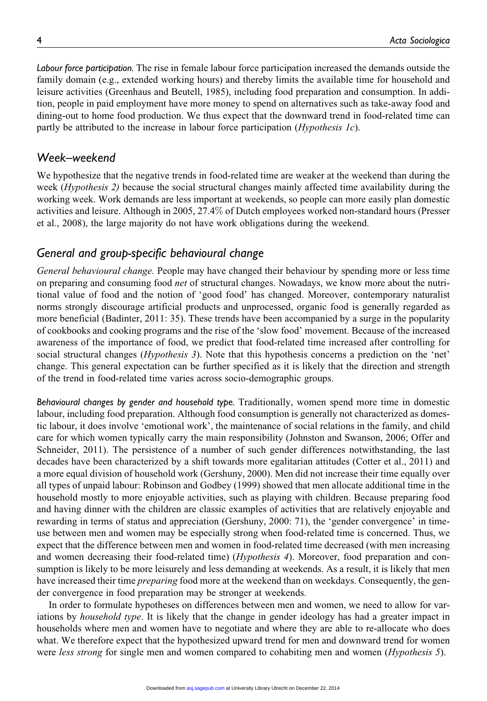Labour force participation. The rise in female labour force participation increased the demands outside the family domain (e.g., extended working hours) and thereby limits the available time for household and leisure activities (Greenhaus and Beutell, 1985), including food preparation and consumption. In addition, people in paid employment have more money to spend on alternatives such as take-away food and dining-out to home food production. We thus expect that the downward trend in food-related time can partly be attributed to the increase in labour force participation (Hypothesis 1c).

### Week–weekend

We hypothesize that the negative trends in food-related time are weaker at the weekend than during the week (Hypothesis 2) because the social structural changes mainly affected time availability during the working week. Work demands are less important at weekends, so people can more easily plan domestic activities and leisure. Although in 2005, 27.4% of Dutch employees worked non-standard hours (Presser et al., 2008), the large majority do not have work obligations during the weekend.

## General and group-specific behavioural change

General behavioural change. People may have changed their behaviour by spending more or less time on preparing and consuming food net of structural changes. Nowadays, we know more about the nutritional value of food and the notion of 'good food' has changed. Moreover, contemporary naturalist norms strongly discourage artificial products and unprocessed, organic food is generally regarded as more beneficial (Badinter, 2011: 35). These trends have been accompanied by a surge in the popularity of cookbooks and cooking programs and the rise of the 'slow food' movement. Because of the increased awareness of the importance of food, we predict that food-related time increased after controlling for social structural changes (*Hypothesis 3*). Note that this hypothesis concerns a prediction on the 'net' change. This general expectation can be further specified as it is likely that the direction and strength of the trend in food-related time varies across socio-demographic groups.

Behavioural changes by gender and household type. Traditionally, women spend more time in domestic labour, including food preparation. Although food consumption is generally not characterized as domestic labour, it does involve 'emotional work', the maintenance of social relations in the family, and child care for which women typically carry the main responsibility (Johnston and Swanson, 2006; Offer and Schneider, 2011). The persistence of a number of such gender differences notwithstanding, the last decades have been characterized by a shift towards more egalitarian attitudes (Cotter et al., 2011) and a more equal division of household work (Gershuny, 2000). Men did not increase their time equally over all types of unpaid labour: Robinson and Godbey (1999) showed that men allocate additional time in the household mostly to more enjoyable activities, such as playing with children. Because preparing food and having dinner with the children are classic examples of activities that are relatively enjoyable and rewarding in terms of status and appreciation (Gershuny, 2000: 71), the 'gender convergence' in timeuse between men and women may be especially strong when food-related time is concerned. Thus, we expect that the difference between men and women in food-related time decreased (with men increasing and women decreasing their food-related time) (Hypothesis 4). Moreover, food preparation and consumption is likely to be more leisurely and less demanding at weekends. As a result, it is likely that men have increased their time *preparing* food more at the weekend than on weekdays. Consequently, the gender convergence in food preparation may be stronger at weekends.

In order to formulate hypotheses on differences between men and women, we need to allow for variations by *household type*. It is likely that the change in gender ideology has had a greater impact in households where men and women have to negotiate and where they are able to re-allocate who does what. We therefore expect that the hypothesized upward trend for men and downward trend for women were less strong for single men and women compared to cohabiting men and women (Hypothesis 5).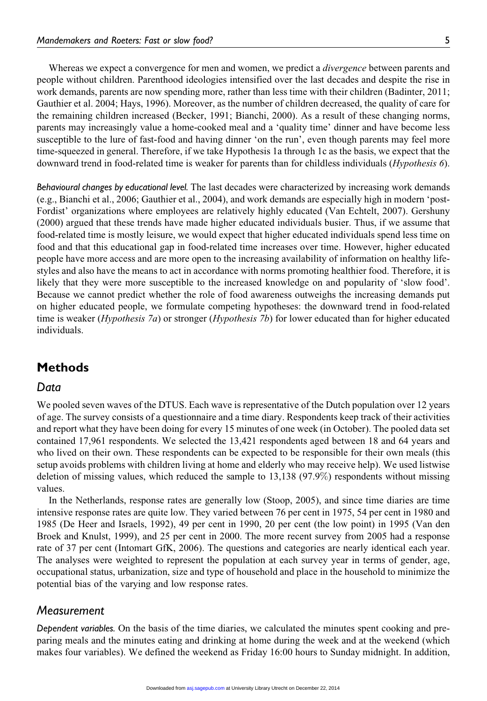Whereas we expect a convergence for men and women, we predict a *divergence* between parents and people without children. Parenthood ideologies intensified over the last decades and despite the rise in work demands, parents are now spending more, rather than less time with their children (Badinter, 2011; Gauthier et al. 2004; Hays, 1996). Moreover, as the number of children decreased, the quality of care for the remaining children increased (Becker, 1991; Bianchi, 2000). As a result of these changing norms, parents may increasingly value a home-cooked meal and a 'quality time' dinner and have become less susceptible to the lure of fast-food and having dinner 'on the run', even though parents may feel more time-squeezed in general. Therefore, if we take Hypothesis 1a through 1c as the basis, we expect that the downward trend in food-related time is weaker for parents than for childless individuals (Hypothesis 6).

Behavioural changes by educational level. The last decades were characterized by increasing work demands (e.g., Bianchi et al., 2006; Gauthier et al., 2004), and work demands are especially high in modern 'post-Fordist' organizations where employees are relatively highly educated (Van Echtelt, 2007). Gershuny (2000) argued that these trends have made higher educated individuals busier. Thus, if we assume that food-related time is mostly leisure, we would expect that higher educated individuals spend less time on food and that this educational gap in food-related time increases over time. However, higher educated people have more access and are more open to the increasing availability of information on healthy lifestyles and also have the means to act in accordance with norms promoting healthier food. Therefore, it is likely that they were more susceptible to the increased knowledge on and popularity of 'slow food'. Because we cannot predict whether the role of food awareness outweighs the increasing demands put on higher educated people, we formulate competing hypotheses: the downward trend in food-related time is weaker (*Hypothesis 7a*) or stronger (*Hypothesis 7b*) for lower educated than for higher educated individuals.

## Methods

#### Data

We pooled seven waves of the DTUS. Each wave is representative of the Dutch population over 12 years of age. The survey consists of a questionnaire and a time diary. Respondents keep track of their activities and report what they have been doing for every 15 minutes of one week (in October). The pooled data set contained 17,961 respondents. We selected the 13,421 respondents aged between 18 and 64 years and who lived on their own. These respondents can be expected to be responsible for their own meals (this setup avoids problems with children living at home and elderly who may receive help). We used listwise deletion of missing values, which reduced the sample to 13,138 (97.9%) respondents without missing values.

In the Netherlands, response rates are generally low (Stoop, 2005), and since time diaries are time intensive response rates are quite low. They varied between 76 per cent in 1975, 54 per cent in 1980 and 1985 (De Heer and Israels, 1992), 49 per cent in 1990, 20 per cent (the low point) in 1995 (Van den Broek and Knulst, 1999), and 25 per cent in 2000. The more recent survey from 2005 had a response rate of 37 per cent (Intomart GfK, 2006). The questions and categories are nearly identical each year. The analyses were weighted to represent the population at each survey year in terms of gender, age, occupational status, urbanization, size and type of household and place in the household to minimize the potential bias of the varying and low response rates.

#### Measurement

Dependent variables. On the basis of the time diaries, we calculated the minutes spent cooking and preparing meals and the minutes eating and drinking at home during the week and at the weekend (which makes four variables). We defined the weekend as Friday 16:00 hours to Sunday midnight. In addition,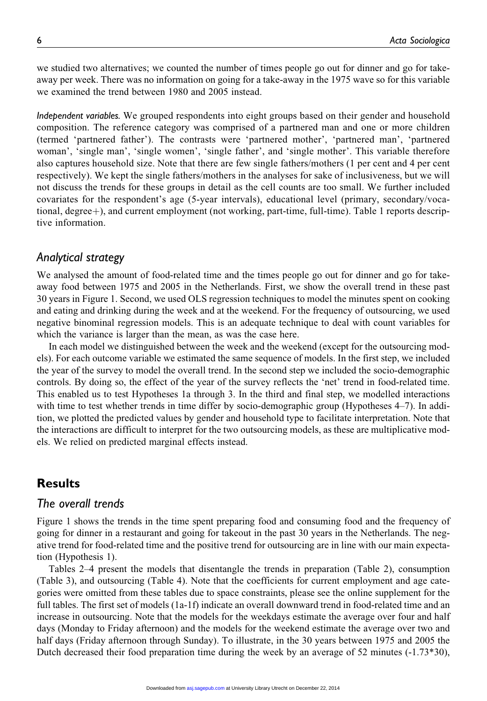we studied two alternatives; we counted the number of times people go out for dinner and go for takeaway per week. There was no information on going for a take-away in the 1975 wave so for this variable we examined the trend between 1980 and 2005 instead.

Independent variables. We grouped respondents into eight groups based on their gender and household composition. The reference category was comprised of a partnered man and one or more children (termed 'partnered father'). The contrasts were 'partnered mother', 'partnered man', 'partnered woman', 'single man', 'single women', 'single father', and 'single mother'. This variable therefore also captures household size. Note that there are few single fathers/mothers (1 per cent and 4 per cent respectively). We kept the single fathers/mothers in the analyses for sake of inclusiveness, but we will not discuss the trends for these groups in detail as the cell counts are too small. We further included covariates for the respondent's age (5-year intervals), educational level (primary, secondary/vocational, degree+), and current employment (not working, part-time, full-time). Table 1 reports descriptive information.

#### Analytical strategy

We analysed the amount of food-related time and the times people go out for dinner and go for takeaway food between 1975 and 2005 in the Netherlands. First, we show the overall trend in these past 30 years in Figure 1. Second, we used OLS regression techniques to model the minutes spent on cooking and eating and drinking during the week and at the weekend. For the frequency of outsourcing, we used negative binominal regression models. This is an adequate technique to deal with count variables for which the variance is larger than the mean, as was the case here.

In each model we distinguished between the week and the weekend (except for the outsourcing models). For each outcome variable we estimated the same sequence of models. In the first step, we included the year of the survey to model the overall trend. In the second step we included the socio-demographic controls. By doing so, the effect of the year of the survey reflects the 'net' trend in food-related time. This enabled us to test Hypotheses 1a through 3. In the third and final step, we modelled interactions with time to test whether trends in time differ by socio-demographic group (Hypotheses 4–7). In addition, we plotted the predicted values by gender and household type to facilitate interpretation. Note that the interactions are difficult to interpret for the two outsourcing models, as these are multiplicative models. We relied on predicted marginal effects instead.

## Results

#### The overall trends

Figure 1 shows the trends in the time spent preparing food and consuming food and the frequency of going for dinner in a restaurant and going for takeout in the past 30 years in the Netherlands. The negative trend for food-related time and the positive trend for outsourcing are in line with our main expectation (Hypothesis 1).

Tables 2–4 present the models that disentangle the trends in preparation (Table 2), consumption (Table 3), and outsourcing (Table 4). Note that the coefficients for current employment and age categories were omitted from these tables due to space constraints, please see the online supplement for the full tables. The first set of models (1a-1f) indicate an overall downward trend in food-related time and an increase in outsourcing. Note that the models for the weekdays estimate the average over four and half days (Monday to Friday afternoon) and the models for the weekend estimate the average over two and half days (Friday afternoon through Sunday). To illustrate, in the 30 years between 1975 and 2005 the Dutch decreased their food preparation time during the week by an average of 52 minutes (-1.73\*30),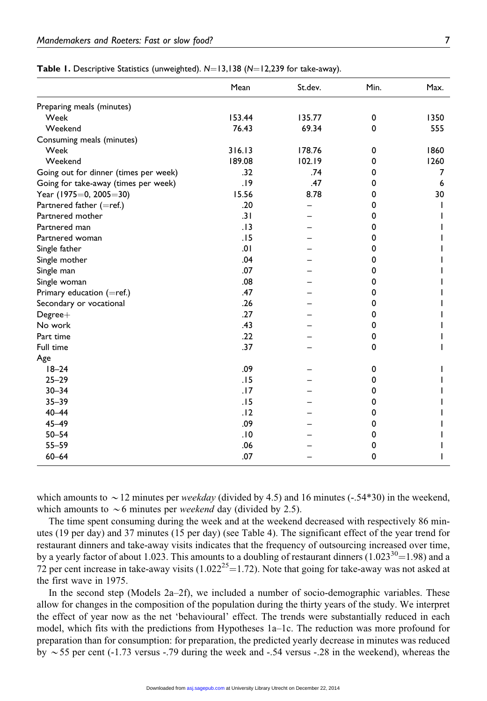|                                       | Mean   | St.dev. | Min.        | Max. |
|---------------------------------------|--------|---------|-------------|------|
| Preparing meals (minutes)             |        |         |             |      |
| Week                                  | 153.44 | 135.77  | 0           | 1350 |
| Weekend                               | 76.43  | 69.34   | $\Omega$    | 555  |
| Consuming meals (minutes)             |        |         |             |      |
| Week                                  | 316.13 | 178.76  | 0           | 1860 |
| Weekend                               | 189.08 | 102.19  | 0           | 1260 |
| Going out for dinner (times per week) | .32    | .74     | 0           | 7    |
| Going for take-away (times per week)  | .19    | .47     | 0           | 6    |
| Year (1975=0, 2005=30)                | 15.56  | 8.78    | 0           | 30   |
| Partnered father (=ref.)              | .20    |         | 0           |      |
| Partnered mother                      | .31    |         | 0           |      |
| Partnered man                         | .13    |         | 0           |      |
| Partnered woman                       | .15    |         | 0           |      |
| Single father                         | .01    |         | 0           |      |
| Single mother                         | .04    |         | 0           |      |
| Single man                            | .07    |         | 0           |      |
| Single woman                          | .08    |         | 0           |      |
| Primary education (=ref.)             | .47    |         | 0           |      |
| Secondary or vocational               | .26    |         | 0           |      |
| $Degree+$                             | .27    |         | 0           |      |
| No work                               | .43    |         | 0           |      |
| Part time                             | .22    |         | 0           |      |
| Full time                             | .37    |         | 0           |      |
| Age                                   |        |         |             |      |
| $18 - 24$                             | .09    |         | 0           |      |
| $25 - 29$                             | .15    |         | 0           |      |
| $30 - 34$                             | .17    |         | 0           |      |
| $35 - 39$                             | .15    |         | 0           |      |
| $40 - 44$                             | .12    |         | 0           |      |
| $45 - 49$                             | .09    |         | 0           |      |
| $50 - 54$                             | .10    |         | 0           |      |
| $55 - 59$                             | .06    |         | 0           |      |
| $60 - 64$                             | .07    |         | $\mathbf 0$ |      |

Table 1. Descriptive Statistics (unweighted).  $N=13,138$  (N=12,239 for take-away).

which amounts to  $\sim$  12 minutes per *weekday* (divided by 4.5) and 16 minutes (-.54\*30) in the weekend, which amounts to  $\sim$  6 minutes per *weekend* day (divided by 2.5).

The time spent consuming during the week and at the weekend decreased with respectively 86 minutes (19 per day) and 37 minutes (15 per day) (see Table 4). The significant effect of the year trend for restaurant dinners and take-away visits indicates that the frequency of outsourcing increased over time, by a yearly factor of about 1.023. This amounts to a doubling of restaurant dinners  $(1.023^{30} = 1.98)$  and a 72 per cent increase in take-away visits (1.022<sup>25</sup> $=$ 1.72). Note that going for take-away was not asked at the first wave in 1975.

In the second step (Models  $2a-2f$ ), we included a number of socio-demographic variables. These allow for changes in the composition of the population during the thirty years of the study. We interpret the effect of year now as the net 'behavioural' effect. The trends were substantially reduced in each model, which fits with the predictions from Hypotheses 1a–1c. The reduction was more profound for preparation than for consumption: for preparation, the predicted yearly decrease in minutes was reduced by  $\sim$  55 per cent (-1.73 versus -.79 during the week and -.54 versus -.28 in the weekend), whereas the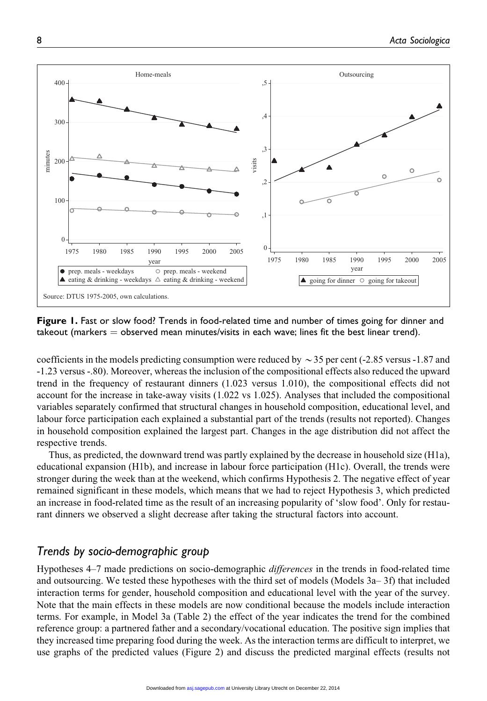

Figure 1. Fast or slow food? Trends in food-related time and number of times going for dinner and takeout (markers  $=$  observed mean minutes/visits in each wave; lines fit the best linear trend).

coefficients in the models predicting consumption were reduced by  $\sim$  35 per cent (-2.85 versus -1.87 and -1.23 versus -.80). Moreover, whereas the inclusion of the compositional effects also reduced the upward trend in the frequency of restaurant dinners (1.023 versus 1.010), the compositional effects did not account for the increase in take-away visits (1.022 vs 1.025). Analyses that included the compositional variables separately confirmed that structural changes in household composition, educational level, and labour force participation each explained a substantial part of the trends (results not reported). Changes in household composition explained the largest part. Changes in the age distribution did not affect the respective trends.

Thus, as predicted, the downward trend was partly explained by the decrease in household size (H1a), educational expansion (H1b), and increase in labour force participation (H1c). Overall, the trends were stronger during the week than at the weekend, which confirms Hypothesis 2. The negative effect of year remained significant in these models, which means that we had to reject Hypothesis 3, which predicted an increase in food-related time as the result of an increasing popularity of 'slow food'. Only for restaurant dinners we observed a slight decrease after taking the structural factors into account.

# Trends by socio-demographic group

Hypotheses 4–7 made predictions on socio-demographic differences in the trends in food-related time and outsourcing. We tested these hypotheses with the third set of models (Models 3a– 3f) that included interaction terms for gender, household composition and educational level with the year of the survey. Note that the main effects in these models are now conditional because the models include interaction terms. For example, in Model 3a (Table 2) the effect of the year indicates the trend for the combined reference group: a partnered father and a secondary/vocational education. The positive sign implies that they increased time preparing food during the week. As the interaction terms are difficult to interpret, we use graphs of the predicted values (Figure 2) and discuss the predicted marginal effects (results not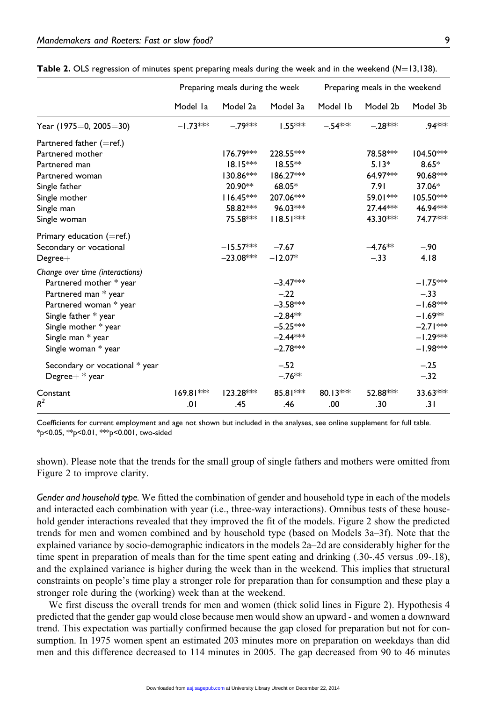|                                 | Preparing meals during the week |             |             | Preparing meals in the weekend |            |             |
|---------------------------------|---------------------------------|-------------|-------------|--------------------------------|------------|-------------|
|                                 | Model la                        | Model 2a    | Model 3a    | Model Ib                       | Model 2b   | Model 3b    |
| Year (1975=0, 2005=30)          | $-1.73***$                      | $-.79***$   | $1.55***$   | $-.54***$                      | $-.28***$  | .94***      |
| Partnered father $(=ref.)$      |                                 |             |             |                                |            |             |
| Partnered mother                |                                 | 176.79***   | 228.55***   |                                | 78.58***   | $104.50***$ |
| Partnered man                   |                                 | $18.15***$  | $18.55**$   |                                | $5.13*$    | $8.65*$     |
| Partnered woman                 |                                 | 130.86***   | 186.27***   |                                | 64.97***   | 90.68***    |
| Single father                   |                                 | 20.90**     | 68.05*      |                                | 7.91       | 37.06*      |
| Single mother                   |                                 | $116.45***$ | 207.06***   |                                | 59.01***   | 105.50***   |
| Single man                      |                                 | 58.82 ***   | $96.03***$  |                                | $27.44***$ | 46.94 ***   |
| Single woman                    |                                 | 75.58***    | $118.51***$ |                                | 43.30***   | 74.77***    |
| Primary education (=ref.)       |                                 |             |             |                                |            |             |
| Secondary or vocational         |                                 | $-15.57***$ | $-7.67$     |                                | $-4.76**$  | $-.90$      |
| $Degree+$                       |                                 | $-23.08***$ | $-12.07*$   |                                | $-.33$     | 4.18        |
| Change over time (interactions) |                                 |             |             |                                |            |             |
| Partnered mother * year         |                                 |             | $-3.47***$  |                                |            | $-1.75***$  |
| Partnered man * year            |                                 |             | $-.22$      |                                |            | $-.33$      |
| Partnered woman * year          |                                 |             | $-3.58***$  |                                |            | $-1.68***$  |
| Single father * year            |                                 |             | $-2.84**$   |                                |            | $-1.69**$   |
| Single mother * year            |                                 |             | $-5.25***$  |                                |            | $-2.71***$  |
| Single man * year               |                                 |             | $-2.44***$  |                                |            | $-1.29***$  |
| Single woman * year             |                                 |             | $-2.78***$  |                                |            | $-1.98***$  |
| Secondary or vocational * year  |                                 |             | $-.52$      |                                |            | $-.25$      |
| Degree $+$ * year               |                                 |             | $-.76***$   |                                |            | $-.32$      |
| Constant                        | $169.81***$                     | $123.28***$ | 85.81***    | $80.13***$                     | 52.88***   | 33.63***    |
| $R^2$                           | .01                             | .45         | .46         | .00                            | .30        | .31         |

**Table 2.** OLS regression of minutes spent preparing meals during the week and in the weekend  $(N=13,138)$ .

Coefficients for current employment and age not shown but included in the analyses, see online supplement for full table. \*p<0.05, \*\*p<0.01, \*\*\*p<0.001, two-sided

shown). Please note that the trends for the small group of single fathers and mothers were omitted from Figure 2 to improve clarity.

Gender and household type. We fitted the combination of gender and household type in each of the models and interacted each combination with year (i.e., three-way interactions). Omnibus tests of these household gender interactions revealed that they improved the fit of the models. Figure 2 show the predicted trends for men and women combined and by household type (based on Models 3a–3f). Note that the explained variance by socio-demographic indicators in the models 2a–2d are considerably higher for the time spent in preparation of meals than for the time spent eating and drinking (.30-.45 versus .09-.18), and the explained variance is higher during the week than in the weekend. This implies that structural constraints on people's time play a stronger role for preparation than for consumption and these play a stronger role during the (working) week than at the weekend.

We first discuss the overall trends for men and women (thick solid lines in Figure 2). Hypothesis 4 predicted that the gender gap would close because men would show an upward - and women a downward trend. This expectation was partially confirmed because the gap closed for preparation but not for consumption. In 1975 women spent an estimated 203 minutes more on preparation on weekdays than did men and this difference decreased to 114 minutes in 2005. The gap decreased from 90 to 46 minutes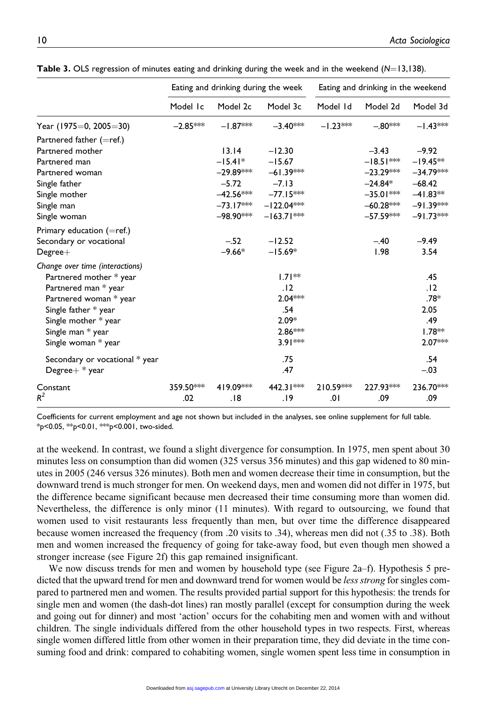|                                 | Eating and drinking during the week |                       |              | Eating and drinking in the weekend |             |             |
|---------------------------------|-------------------------------------|-----------------------|--------------|------------------------------------|-------------|-------------|
|                                 | Model Ic                            | Model 2c              | Model 3c     | Model Id                           | Model 2d    | Model 3d    |
| Year (1975=0, 2005=30)          | $-2.85***$                          | $-1.87***$            | $-3.40***$   | $-1.23***$                         | $-.80***$   | $-1.43***$  |
| Partnered father (=ref.)        |                                     |                       |              |                                    |             |             |
| Partnered mother                |                                     | 13.14                 | $-12.30$     |                                    | $-3.43$     | $-9.92$     |
| Partnered man                   |                                     | $-15.41*$             | $-15.67$     |                                    | $-18.51***$ | $-19.45**$  |
| Partnered woman                 |                                     | –29.89***             | $-61.39***$  |                                    | $-23.29***$ | $-34.79***$ |
| Single father                   |                                     | $-5.72$               | $-7.13$      |                                    | $-24.84*$   | $-68.42$    |
| Single mother                   |                                     | –42.56 <sup>∗⊳⊭</sup> | $-77.15***$  |                                    | $-35.01***$ | $-41.83**$  |
| Single man                      |                                     | $-73.17***$           | $-122.04***$ |                                    | $-60.28***$ | $-91.39***$ |
| Single woman                    |                                     | –98.90***             | $-163.71***$ |                                    | $-57.59***$ | $-91.73***$ |
| Primary education (=ref.)       |                                     |                       |              |                                    |             |             |
| Secondary or vocational         |                                     | $-.52$                | $-12.52$     |                                    | $-.40$      | $-9.49$     |
| $Degree+$                       |                                     | $-9.66*$              | $-15.69*$    |                                    | 1.98        | 3.54        |
| Change over time (interactions) |                                     |                       |              |                                    |             |             |
| Partnered mother * year         |                                     |                       | $1.71**$     |                                    |             | .45         |
| Partnered man * year            |                                     |                       | .12          |                                    |             | .12         |
| Partnered woman * year          |                                     |                       | $2.04***$    |                                    |             | .78*        |
| Single father * year            |                                     |                       | .54          |                                    |             | 2.05        |
| Single mother * year            |                                     |                       | $2.09*$      |                                    |             | .49         |
| Single man * year               |                                     |                       | $2.86***$    |                                    |             | $1.78**$    |
| Single woman * year             |                                     |                       | $3.91***$    |                                    |             | 2.07***     |
| Secondary or vocational * year  |                                     |                       | .75          |                                    |             | .54         |
| Degree $+$ * year               |                                     |                       | .47          |                                    |             | $-.03$      |
| Constant                        | 359.50***                           | 419.09***             | 442.31 **    | 210.59***                          | 227.93***   | 236.70***   |
| $R^2$                           | .02                                 | .18                   | 19.          | .01                                | .09         | .09         |

**Table 3.** OLS regression of minutes eating and drinking during the week and in the weekend  $(N=13,138)$ .

Coefficients for current employment and age not shown but included in the analyses, see online supplement for full table. \*p<0.05, \*\*p<0.01, \*\*\*p<0.001, two-sided.

at the weekend. In contrast, we found a slight divergence for consumption. In 1975, men spent about 30 minutes less on consumption than did women (325 versus 356 minutes) and this gap widened to 80 minutes in 2005 (246 versus 326 minutes). Both men and women decrease their time in consumption, but the downward trend is much stronger for men. On weekend days, men and women did not differ in 1975, but the difference became significant because men decreased their time consuming more than women did. Nevertheless, the difference is only minor (11 minutes). With regard to outsourcing, we found that women used to visit restaurants less frequently than men, but over time the difference disappeared because women increased the frequency (from .20 visits to .34), whereas men did not (.35 to .38). Both men and women increased the frequency of going for take-away food, but even though men showed a stronger increase (see Figure 2f) this gap remained insignificant.

We now discuss trends for men and women by household type (see Figure 2a–f). Hypothesis 5 predicted that the upward trend for men and downward trend for women would be less strong for singles compared to partnered men and women. The results provided partial support for this hypothesis: the trends for single men and women (the dash-dot lines) ran mostly parallel (except for consumption during the week and going out for dinner) and most 'action' occurs for the cohabiting men and women with and without children. The single individuals differed from the other household types in two respects. First, whereas single women differed little from other women in their preparation time, they did deviate in the time consuming food and drink: compared to cohabiting women, single women spent less time in consumption in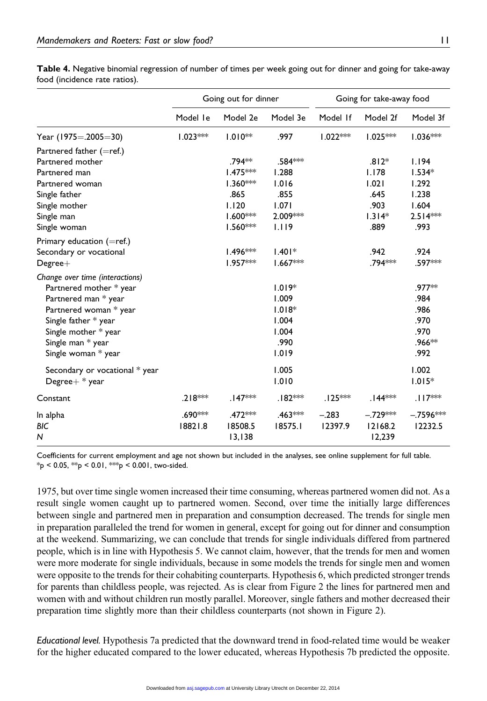|                                 | Going out for dinner |                     |                     | Going for take-away food |                     |             |
|---------------------------------|----------------------|---------------------|---------------------|--------------------------|---------------------|-------------|
|                                 | Model le             | Model 2e            | Model 3e            | Model If                 | Model 2f            | Model 3f    |
| Year (1975=.2005=30)            | $1.023***$           | $1.010**$           | .997                | $1.022***$               | $1.025***$          | $1.036***$  |
| Partnered father $(=ref.)$      |                      |                     |                     |                          |                     |             |
| Partnered mother                |                      | .794**              | .584 ***            |                          | $.812*$             | 1.194       |
| Partnered man                   |                      | $1.475***$          | 1.288               |                          | 1.178               | $1.534*$    |
| Partnered woman                 |                      | $1.360***$          | 1.016               |                          | 1.021               | 1.292       |
| Single father                   |                      | .865                | .855                |                          | .645                | 1.238       |
| Single mother                   |                      | 1.120               | 1.071               |                          | .903                | 1.604       |
| Single man                      |                      | $1.600***$          | 2.009***            |                          | $1.314*$            | $2.514***$  |
| Single woman                    |                      | $1.560***$          | 1.119               |                          | .889                | .993        |
| Primary education $(=ref.)$     |                      |                     |                     |                          |                     |             |
| Secondary or vocational         |                      | $1.496***$          | $1.401*$            |                          | .942                | .924        |
| $Degree+$                       |                      | $1.957***$          | $1.667***$          |                          | .794***             | .597***     |
| Change over time (interactions) |                      |                     |                     |                          |                     |             |
| Partnered mother * year         |                      |                     | $1.019*$            |                          |                     | .977**      |
| Partnered man * year            |                      |                     | 1.009               |                          |                     | .984        |
| Partnered woman * year          |                      |                     | $1.018*$            |                          |                     | .986        |
| Single father * year            |                      |                     | 1.004               |                          |                     | .970        |
| Single mother * year            |                      |                     | 1.004               |                          |                     | .970        |
| Single man * year               |                      |                     | .990                |                          |                     | .966**      |
| Single woman * year             |                      |                     | 1.019               |                          |                     | .992        |
| Secondary or vocational * year  |                      |                     | 1.005               |                          |                     | 1.002       |
| Degree $+$ * year               |                      |                     | 1.010               |                          |                     | $1.015*$    |
| Constant                        | $.218***$            | .147***             | .182 ***            | $.125***$                | .144 <sup>***</sup> | $.117***$   |
| In alpha                        | .690 ***             | .472 <sup>***</sup> | .463 <sup>***</sup> | $-.283$                  | $-.729***$          | $-.7596***$ |
| BIC                             | 18821.8              | 18508.5             | 18575.1             | 12397.9                  | 12168.2             | 12232.5     |
| N                               |                      | 13,138              |                     |                          | 12,239              |             |

Table 4. Negative binomial regression of number of times per week going out for dinner and going for take-away food (incidence rate ratios).

Coefficients for current employment and age not shown but included in the analyses, see online supplement for full table.  $*_{p}$  < 0.05,  $*_{p}$  < 0.01,  $*_{p}$  < 0.001, two-sided.

1975, but over time single women increased their time consuming, whereas partnered women did not. As a result single women caught up to partnered women. Second, over time the initially large differences between single and partnered men in preparation and consumption decreased. The trends for single men in preparation paralleled the trend for women in general, except for going out for dinner and consumption at the weekend. Summarizing, we can conclude that trends for single individuals differed from partnered people, which is in line with Hypothesis 5. We cannot claim, however, that the trends for men and women were more moderate for single individuals, because in some models the trends for single men and women were opposite to the trends for their cohabiting counterparts. Hypothesis 6, which predicted stronger trends for parents than childless people, was rejected. As is clear from Figure 2 the lines for partnered men and women with and without children run mostly parallel. Moreover, single fathers and mother decreased their preparation time slightly more than their childless counterparts (not shown in Figure 2).

Educational level. Hypothesis 7a predicted that the downward trend in food-related time would be weaker for the higher educated compared to the lower educated, whereas Hypothesis 7b predicted the opposite.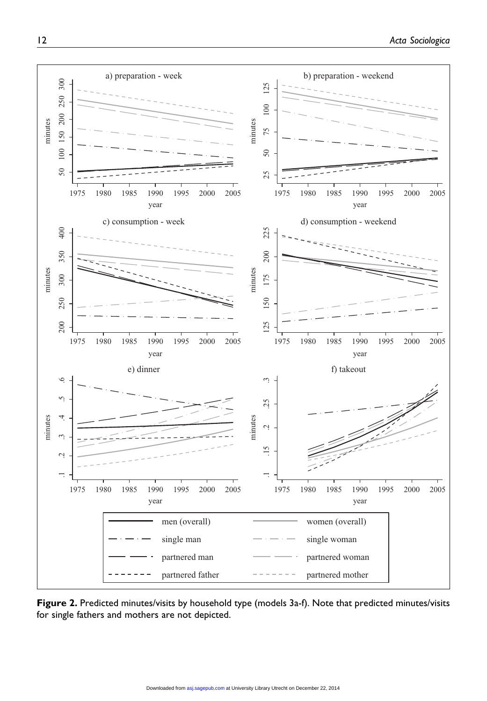

Figure 2. Predicted minutes/visits by household type (models 3a-f). Note that predicted minutes/visits for single fathers and mothers are not depicted.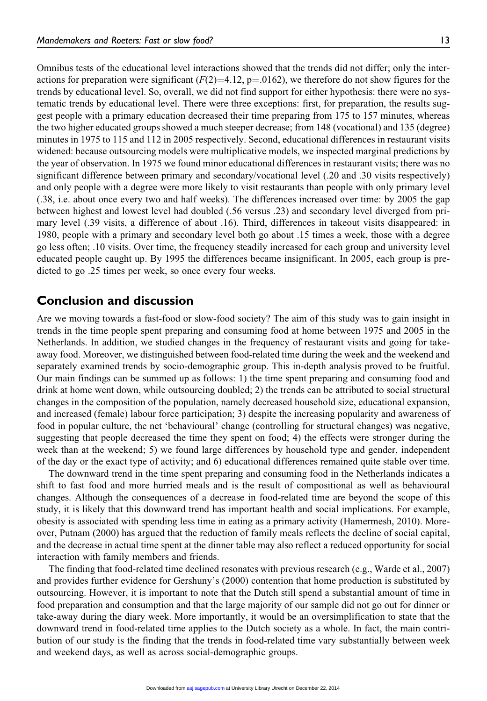Omnibus tests of the educational level interactions showed that the trends did not differ; only the interactions for preparation were significant ( $F(2)=4.12$ , p=.0162), we therefore do not show figures for the trends by educational level. So, overall, we did not find support for either hypothesis: there were no systematic trends by educational level. There were three exceptions: first, for preparation, the results suggest people with a primary education decreased their time preparing from 175 to 157 minutes, whereas the two higher educated groups showed a much steeper decrease; from 148 (vocational) and 135 (degree) minutes in 1975 to 115 and 112 in 2005 respectively. Second, educational differences in restaurant visits widened: because outsourcing models were multiplicative models, we inspected marginal predictions by the year of observation. In 1975 we found minor educational differences in restaurant visits; there was no significant difference between primary and secondary/vocational level (.20 and .30 visits respectively) and only people with a degree were more likely to visit restaurants than people with only primary level (.38, i.e. about once every two and half weeks). The differences increased over time: by 2005 the gap between highest and lowest level had doubled (.56 versus .23) and secondary level diverged from primary level (.39 visits, a difference of about .16). Third, differences in takeout visits disappeared: in 1980, people with a primary and secondary level both go about .15 times a week, those with a degree go less often; .10 visits. Over time, the frequency steadily increased for each group and university level educated people caught up. By 1995 the differences became insignificant. In 2005, each group is predicted to go .25 times per week, so once every four weeks.

#### Conclusion and discussion

Are we moving towards a fast-food or slow-food society? The aim of this study was to gain insight in trends in the time people spent preparing and consuming food at home between 1975 and 2005 in the Netherlands. In addition, we studied changes in the frequency of restaurant visits and going for takeaway food. Moreover, we distinguished between food-related time during the week and the weekend and separately examined trends by socio-demographic group. This in-depth analysis proved to be fruitful. Our main findings can be summed up as follows: 1) the time spent preparing and consuming food and drink at home went down, while outsourcing doubled; 2) the trends can be attributed to social structural changes in the composition of the population, namely decreased household size, educational expansion, and increased (female) labour force participation; 3) despite the increasing popularity and awareness of food in popular culture, the net 'behavioural' change (controlling for structural changes) was negative, suggesting that people decreased the time they spent on food; 4) the effects were stronger during the week than at the weekend; 5) we found large differences by household type and gender, independent of the day or the exact type of activity; and 6) educational differences remained quite stable over time.

The downward trend in the time spent preparing and consuming food in the Netherlands indicates a shift to fast food and more hurried meals and is the result of compositional as well as behavioural changes. Although the consequences of a decrease in food-related time are beyond the scope of this study, it is likely that this downward trend has important health and social implications. For example, obesity is associated with spending less time in eating as a primary activity (Hamermesh, 2010). Moreover, Putnam (2000) has argued that the reduction of family meals reflects the decline of social capital, and the decrease in actual time spent at the dinner table may also reflect a reduced opportunity for social interaction with family members and friends.

The finding that food-related time declined resonates with previous research (e.g., Warde et al., 2007) and provides further evidence for Gershuny's (2000) contention that home production is substituted by outsourcing. However, it is important to note that the Dutch still spend a substantial amount of time in food preparation and consumption and that the large majority of our sample did not go out for dinner or take-away during the diary week. More importantly, it would be an oversimplification to state that the downward trend in food-related time applies to the Dutch society as a whole. In fact, the main contribution of our study is the finding that the trends in food-related time vary substantially between week and weekend days, as well as across social-demographic groups.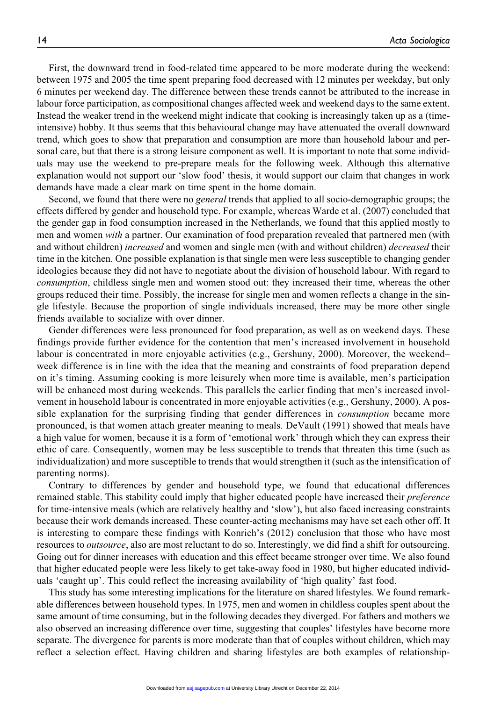First, the downward trend in food-related time appeared to be more moderate during the weekend: between 1975 and 2005 the time spent preparing food decreased with 12 minutes per weekday, but only 6 minutes per weekend day. The difference between these trends cannot be attributed to the increase in labour force participation, as compositional changes affected week and weekend days to the same extent. Instead the weaker trend in the weekend might indicate that cooking is increasingly taken up as a (timeintensive) hobby. It thus seems that this behavioural change may have attenuated the overall downward trend, which goes to show that preparation and consumption are more than household labour and personal care, but that there is a strong leisure component as well. It is important to note that some individuals may use the weekend to pre-prepare meals for the following week. Although this alternative explanation would not support our 'slow food' thesis, it would support our claim that changes in work demands have made a clear mark on time spent in the home domain.

Second, we found that there were no *general* trends that applied to all socio-demographic groups; the effects differed by gender and household type. For example, whereas Warde et al. (2007) concluded that the gender gap in food consumption increased in the Netherlands, we found that this applied mostly to men and women with a partner. Our examination of food preparation revealed that partnered men (with and without children) *increased* and women and single men (with and without children) *decreased* their time in the kitchen. One possible explanation is that single men were less susceptible to changing gender ideologies because they did not have to negotiate about the division of household labour. With regard to consumption, childless single men and women stood out: they increased their time, whereas the other groups reduced their time. Possibly, the increase for single men and women reflects a change in the single lifestyle. Because the proportion of single individuals increased, there may be more other single friends available to socialize with over dinner.

Gender differences were less pronounced for food preparation, as well as on weekend days. These findings provide further evidence for the contention that men's increased involvement in household labour is concentrated in more enjoyable activities (e.g., Gershuny, 2000). Moreover, the weekend– week difference is in line with the idea that the meaning and constraints of food preparation depend on it's timing. Assuming cooking is more leisurely when more time is available, men's participation will be enhanced most during weekends. This parallels the earlier finding that men's increased involvement in household labour is concentrated in more enjoyable activities (e.g., Gershuny, 2000). A possible explanation for the surprising finding that gender differences in *consumption* became more pronounced, is that women attach greater meaning to meals. DeVault (1991) showed that meals have a high value for women, because it is a form of 'emotional work' through which they can express their ethic of care. Consequently, women may be less susceptible to trends that threaten this time (such as individualization) and more susceptible to trends that would strengthen it (such as the intensification of parenting norms).

Contrary to differences by gender and household type, we found that educational differences remained stable. This stability could imply that higher educated people have increased their *preference* for time-intensive meals (which are relatively healthy and 'slow'), but also faced increasing constraints because their work demands increased. These counter-acting mechanisms may have set each other off. It is interesting to compare these findings with Konrich's (2012) conclusion that those who have most resources to *outsource*, also are most reluctant to do so. Interestingly, we did find a shift for outsourcing. Going out for dinner increases with education and this effect became stronger over time. We also found that higher educated people were less likely to get take-away food in 1980, but higher educated individuals 'caught up'. This could reflect the increasing availability of 'high quality' fast food.

This study has some interesting implications for the literature on shared lifestyles. We found remarkable differences between household types. In 1975, men and women in childless couples spent about the same amount of time consuming, but in the following decades they diverged. For fathers and mothers we also observed an increasing difference over time, suggesting that couples' lifestyles have become more separate. The divergence for parents is more moderate than that of couples without children, which may reflect a selection effect. Having children and sharing lifestyles are both examples of relationship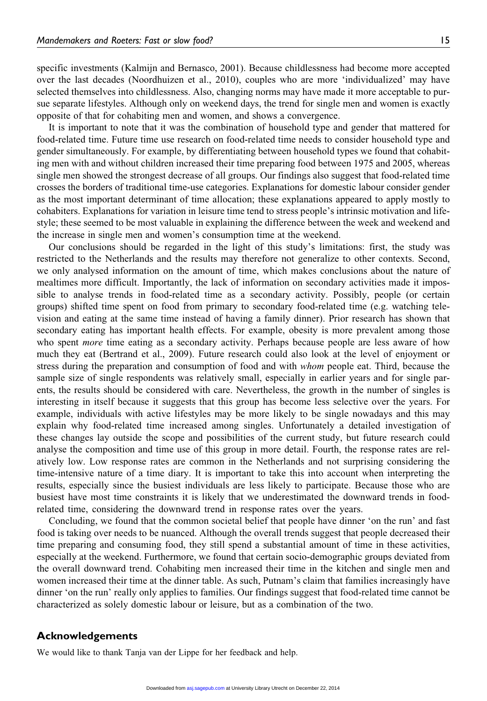specific investments (Kalmijn and Bernasco, 2001). Because childlessness had become more accepted over the last decades (Noordhuizen et al., 2010), couples who are more 'individualized' may have selected themselves into childlessness. Also, changing norms may have made it more acceptable to pursue separate lifestyles. Although only on weekend days, the trend for single men and women is exactly opposite of that for cohabiting men and women, and shows a convergence.

It is important to note that it was the combination of household type and gender that mattered for food-related time. Future time use research on food-related time needs to consider household type and gender simultaneously. For example, by differentiating between household types we found that cohabiting men with and without children increased their time preparing food between 1975 and 2005, whereas single men showed the strongest decrease of all groups. Our findings also suggest that food-related time crosses the borders of traditional time-use categories. Explanations for domestic labour consider gender as the most important determinant of time allocation; these explanations appeared to apply mostly to cohabiters. Explanations for variation in leisure time tend to stress people's intrinsic motivation and lifestyle; these seemed to be most valuable in explaining the difference between the week and weekend and the increase in single men and women's consumption time at the weekend.

Our conclusions should be regarded in the light of this study's limitations: first, the study was restricted to the Netherlands and the results may therefore not generalize to other contexts. Second, we only analysed information on the amount of time, which makes conclusions about the nature of mealtimes more difficult. Importantly, the lack of information on secondary activities made it impossible to analyse trends in food-related time as a secondary activity. Possibly, people (or certain groups) shifted time spent on food from primary to secondary food-related time (e.g. watching television and eating at the same time instead of having a family dinner). Prior research has shown that secondary eating has important health effects. For example, obesity is more prevalent among those who spent *more* time eating as a secondary activity. Perhaps because people are less aware of how much they eat (Bertrand et al., 2009). Future research could also look at the level of enjoyment or stress during the preparation and consumption of food and with *whom* people eat. Third, because the sample size of single respondents was relatively small, especially in earlier years and for single parents, the results should be considered with care. Nevertheless, the growth in the number of singles is interesting in itself because it suggests that this group has become less selective over the years. For example, individuals with active lifestyles may be more likely to be single nowadays and this may explain why food-related time increased among singles. Unfortunately a detailed investigation of these changes lay outside the scope and possibilities of the current study, but future research could analyse the composition and time use of this group in more detail. Fourth, the response rates are relatively low. Low response rates are common in the Netherlands and not surprising considering the time-intensive nature of a time diary. It is important to take this into account when interpreting the results, especially since the busiest individuals are less likely to participate. Because those who are busiest have most time constraints it is likely that we underestimated the downward trends in foodrelated time, considering the downward trend in response rates over the years.

Concluding, we found that the common societal belief that people have dinner 'on the run' and fast food is taking over needs to be nuanced. Although the overall trends suggest that people decreased their time preparing and consuming food, they still spend a substantial amount of time in these activities, especially at the weekend. Furthermore, we found that certain socio-demographic groups deviated from the overall downward trend. Cohabiting men increased their time in the kitchen and single men and women increased their time at the dinner table. As such, Putnam's claim that families increasingly have dinner 'on the run' really only applies to families. Our findings suggest that food-related time cannot be characterized as solely domestic labour or leisure, but as a combination of the two.

#### Acknowledgements

We would like to thank Tanja van der Lippe for her feedback and help.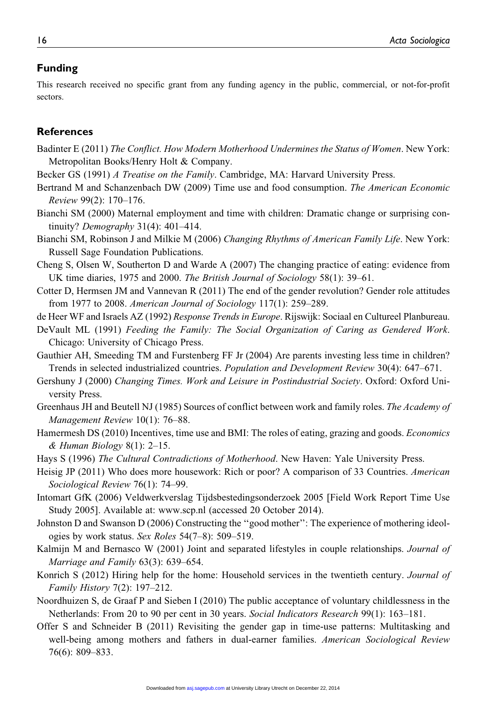#### Funding

This research received no specific grant from any funding agency in the public, commercial, or not-for-profit sectors.

#### **References**

- Badinter E (2011) The Conflict. How Modern Motherhood Undermines the Status of Women. New York: Metropolitan Books/Henry Holt & Company.
- Becker GS (1991) A Treatise on the Family. Cambridge, MA: Harvard University Press.
- Bertrand M and Schanzenbach DW (2009) Time use and food consumption. The American Economic Review 99(2): 170–176.
- Bianchi SM (2000) Maternal employment and time with children: Dramatic change or surprising continuity? Demography 31(4): 401–414.
- Bianchi SM, Robinson J and Milkie M (2006) Changing Rhythms of American Family Life. New York: Russell Sage Foundation Publications.
- Cheng S, Olsen W, Southerton D and Warde A (2007) The changing practice of eating: evidence from UK time diaries, 1975 and 2000. The British Journal of Sociology 58(1): 39–61.
- Cotter D, Hermsen JM and Vannevan R (2011) The end of the gender revolution? Gender role attitudes from 1977 to 2008. American Journal of Sociology 117(1): 259–289.
- de Heer WF and Israels AZ (1992) Response Trends in Europe. Rijswijk: Sociaal en Cultureel Planbureau.
- DeVault ML (1991) Feeding the Family: The Social Organization of Caring as Gendered Work. Chicago: University of Chicago Press.
- Gauthier AH, Smeeding TM and Furstenberg FF Jr (2004) Are parents investing less time in children? Trends in selected industrialized countries. Population and Development Review 30(4): 647–671.
- Gershuny J (2000) Changing Times. Work and Leisure in Postindustrial Society. Oxford: Oxford University Press.
- Greenhaus JH and Beutell NJ (1985) Sources of conflict between work and family roles. The Academy of Management Review 10(1): 76–88.
- Hamermesh DS (2010) Incentives, time use and BMI: The roles of eating, grazing and goods. Economics  $&$  Human Biology 8(1): 2–15.
- Hays S (1996) The Cultural Contradictions of Motherhood. New Haven: Yale University Press.
- Heisig JP (2011) Who does more housework: Rich or poor? A comparison of 33 Countries. American Sociological Review 76(1): 74–99.
- Intomart GfK (2006) Veldwerkverslag Tijdsbestedingsonderzoek 2005 [Field Work Report Time Use Study 2005]. Available at:<www.scp.nl> (accessed 20 October 2014).
- Johnston D and Swanson D (2006) Constructing the ''good mother'': The experience of mothering ideologies by work status. Sex Roles 54(7–8): 509–519.
- Kalmijn M and Bernasco W (2001) Joint and separated lifestyles in couple relationships. Journal of Marriage and Family 63(3): 639–654.
- Konrich S (2012) Hiring help for the home: Household services in the twentieth century. Journal of Family History 7(2): 197–212.
- Noordhuizen S, de Graaf P and Sieben I (2010) The public acceptance of voluntary childlessness in the Netherlands: From 20 to 90 per cent in 30 years. Social Indicators Research 99(1): 163–181.
- Offer S and Schneider B (2011) Revisiting the gender gap in time-use patterns: Multitasking and well-being among mothers and fathers in dual-earner families. American Sociological Review 76(6): 809–833.